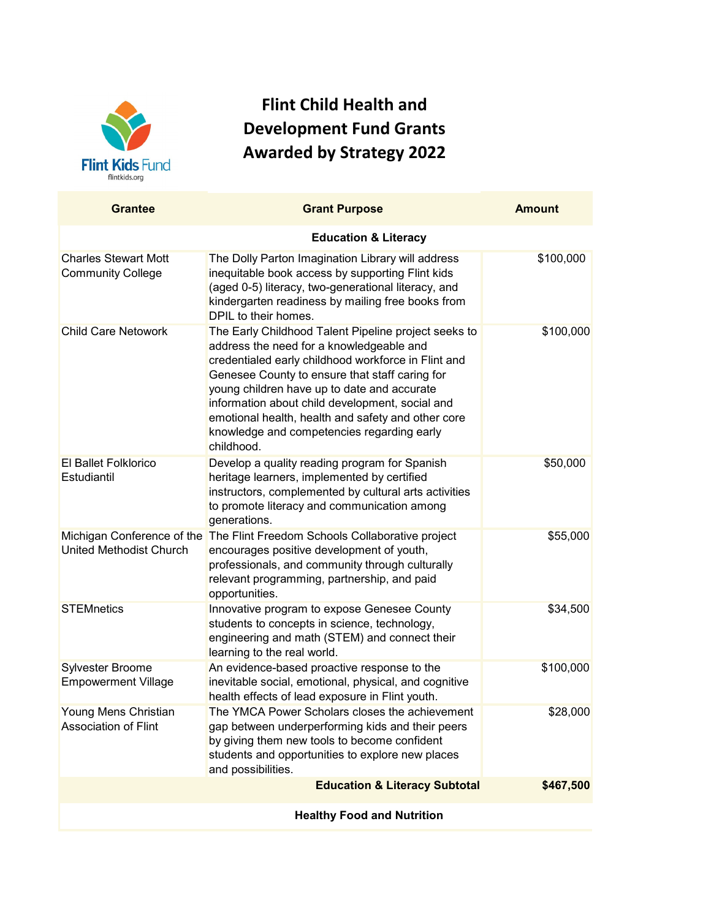

## **Flint Child Health and Development Fund Grants Awarded by Strategy 2022**

| <b>Grantee</b>                                               | <b>Grant Purpose</b>                                                                                                                                                                                                                                                                                                                                                                                                          | <b>Amount</b> |  |
|--------------------------------------------------------------|-------------------------------------------------------------------------------------------------------------------------------------------------------------------------------------------------------------------------------------------------------------------------------------------------------------------------------------------------------------------------------------------------------------------------------|---------------|--|
|                                                              | <b>Education &amp; Literacy</b>                                                                                                                                                                                                                                                                                                                                                                                               |               |  |
| <b>Charles Stewart Mott</b><br><b>Community College</b>      | The Dolly Parton Imagination Library will address<br>inequitable book access by supporting Flint kids<br>(aged 0-5) literacy, two-generational literacy, and<br>kindergarten readiness by mailing free books from<br>DPIL to their homes.                                                                                                                                                                                     | \$100,000     |  |
| <b>Child Care Netowork</b>                                   | The Early Childhood Talent Pipeline project seeks to<br>address the need for a knowledgeable and<br>credentialed early childhood workforce in Flint and<br>Genesee County to ensure that staff caring for<br>young children have up to date and accurate<br>information about child development, social and<br>emotional health, health and safety and other core<br>knowledge and competencies regarding early<br>childhood. | \$100,000     |  |
| <b>El Ballet Folklorico</b><br>Estudiantil                   | Develop a quality reading program for Spanish<br>heritage learners, implemented by certified<br>instructors, complemented by cultural arts activities<br>to promote literacy and communication among<br>generations.                                                                                                                                                                                                          | \$50,000      |  |
| Michigan Conference of the<br><b>United Methodist Church</b> | The Flint Freedom Schools Collaborative project<br>encourages positive development of youth,<br>professionals, and community through culturally<br>relevant programming, partnership, and paid<br>opportunities.                                                                                                                                                                                                              | \$55,000      |  |
| <b>STEMnetics</b>                                            | Innovative program to expose Genesee County<br>students to concepts in science, technology,<br>engineering and math (STEM) and connect their<br>learning to the real world.                                                                                                                                                                                                                                                   | \$34,500      |  |
| Sylvester Broome<br><b>Empowerment Village</b>               | An evidence-based proactive response to the<br>inevitable social, emotional, physical, and cognitive<br>health effects of lead exposure in Flint youth.                                                                                                                                                                                                                                                                       | \$100,000     |  |
| Young Mens Christian<br><b>Association of Flint</b>          | The YMCA Power Scholars closes the achievement<br>gap between underperforming kids and their peers<br>by giving them new tools to become confident<br>students and opportunities to explore new places<br>and possibilities.                                                                                                                                                                                                  | \$28,000      |  |
|                                                              | <b>Education &amp; Literacy Subtotal</b>                                                                                                                                                                                                                                                                                                                                                                                      | \$467,500     |  |
| <b>Healthy Food and Nutrition</b>                            |                                                                                                                                                                                                                                                                                                                                                                                                                               |               |  |